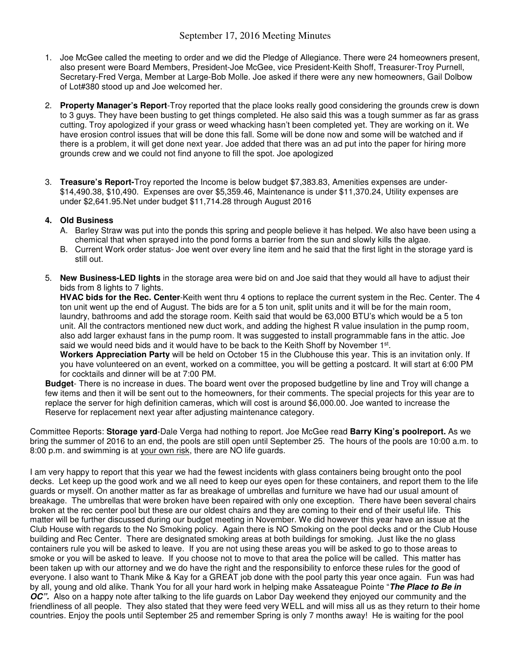## September 17, 2016 Meeting Minutes

- 1. Joe McGee called the meeting to order and we did the Pledge of Allegiance. There were 24 homeowners present, also present were Board Members, President-Joe McGee, vice President-Keith Shoff, Treasurer-Troy Purnell, Secretary-Fred Verga, Member at Large-Bob Molle. Joe asked if there were any new homeowners, Gail Dolbow of Lot#380 stood up and Joe welcomed her.
- 2. **Property Manager's Report**-Troy reported that the place looks really good considering the grounds crew is down to 3 guys. They have been busting to get things completed. He also said this was a tough summer as far as grass cutting. Troy apologized if your grass or weed whacking hasn't been completed yet. They are working on it. We have erosion control issues that will be done this fall. Some will be done now and some will be watched and if there is a problem, it will get done next year. Joe added that there was an ad put into the paper for hiring more grounds crew and we could not find anyone to fill the spot. Joe apologized
- 3. **Treasure's Report-**Troy reported the Income is below budget \$7,383.83, Amenities expenses are under- \$14,490.38, \$10,490. Expenses are over \$5,359.46, Maintenance is under \$11,370.24, Utility expenses are under \$2,641.95.Net under budget \$11,714.28 through August 2016

## **4. Old Business**

- A. Barley Straw was put into the ponds this spring and people believe it has helped. We also have been using a chemical that when sprayed into the pond forms a barrier from the sun and slowly kills the algae.
- B. Current Work order status- Joe went over every line item and he said that the first light in the storage yard is still out.
- 5. **New Business-LED lights** in the storage area were bid on and Joe said that they would all have to adjust their bids from 8 lights to 7 lights.

**HVAC bids for the Rec. Center**-Keith went thru 4 options to replace the current system in the Rec. Center. The 4 ton unit went up the end of August. The bids are for a 5 ton unit, split units and it will be for the main room, laundry, bathrooms and add the storage room. Keith said that would be 63,000 BTU's which would be a 5 ton unit. All the contractors mentioned new duct work, and adding the highest R value insulation in the pump room, also add larger exhaust fans in the pump room. It was suggested to install programmable fans in the attic. Joe said we would need bids and it would have to be back to the Keith Shoff by November 1st.

**Workers Appreciation Party** will be held on October 15 in the Clubhouse this year. This is an invitation only. If you have volunteered on an event, worked on a committee, you will be getting a postcard. It will start at 6:00 PM for cocktails and dinner will be at 7:00 PM.

**Budget**- There is no increase in dues. The board went over the proposed budgetline by line and Troy will change a few items and then it will be sent out to the homeowners, for their comments. The special projects for this year are to replace the server for high definition cameras, which will cost is around \$6,000.00. Joe wanted to increase the Reserve for replacement next year after adjusting maintenance category.

Committee Reports: **Storage yard**-Dale Verga had nothing to report. Joe McGee read **Barry King's poolreport.** As we bring the summer of 2016 to an end, the pools are still open until September 25. The hours of the pools are 10:00 a.m. to 8:00 p.m. and swimming is at your own risk, there are NO life guards.

I am very happy to report that this year we had the fewest incidents with glass containers being brought onto the pool decks. Let keep up the good work and we all need to keep our eyes open for these containers, and report them to the life guards or myself. On another matter as far as breakage of umbrellas and furniture we have had our usual amount of breakage. The umbrellas that were broken have been repaired with only one exception. There have been several chairs broken at the rec center pool but these are our oldest chairs and they are coming to their end of their useful life. This matter will be further discussed during our budget meeting in November. We did however this year have an issue at the Club House with regards to the No Smoking policy. Again there is NO Smoking on the pool decks and or the Club House building and Rec Center. There are designated smoking areas at both buildings for smoking. Just like the no glass containers rule you will be asked to leave. If you are not using these areas you will be asked to go to those areas to smoke or you will be asked to leave. If you choose not to move to that area the police will be called. This matter has been taken up with our attorney and we do have the right and the responsibility to enforce these rules for the good of everyone. I also want to Thank Mike & Kay for a GREAT job done with the pool party this year once again. Fun was had by all, young and old alike. Thank You for all your hard work in helping make Assateague Pointe "**The Place to Be in OC".** Also on a happy note after talking to the life guards on Labor Day weekend they enjoyed our community and the friendliness of all people. They also stated that they were feed very WELL and will miss all us as they return to their home countries. Enjoy the pools until September 25 and remember Spring is only 7 months away! He is waiting for the pool